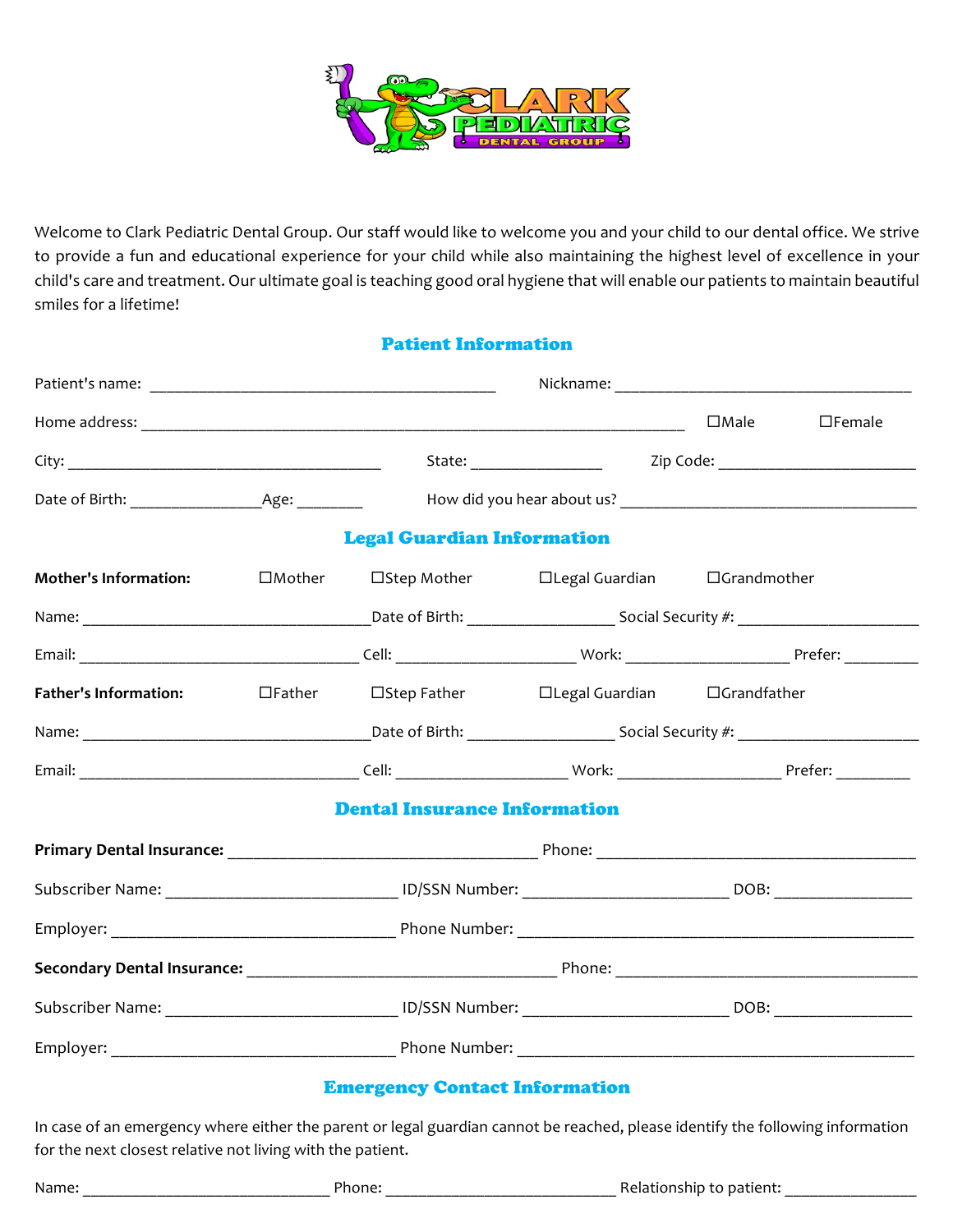

Welcome to Clark Pediatric Dental Group. Our staff would like to welcome you and your child to our dental office. We strive to provide a fun and educational experience for your child while also maintaining the highest level of excellence in your child's care and treatment. Our ultimate goal is teaching good oral hygiene that will enable our patients to maintain beautiful smiles for a lifetime!

### Patient Information

|                              |                                                                                                                                        |                                                   |  | $\Box$ Male<br>$\Box$ Female |
|------------------------------|----------------------------------------------------------------------------------------------------------------------------------------|---------------------------------------------------|--|------------------------------|
|                              |                                                                                                                                        |                                                   |  |                              |
|                              |                                                                                                                                        |                                                   |  |                              |
|                              |                                                                                                                                        | <b>Legal Guardian Information</b>                 |  |                              |
| <b>Mother's Information:</b> |                                                                                                                                        | □Mother □Step Mother □Legal Guardian              |  | □Grandmother                 |
|                              |                                                                                                                                        |                                                   |  |                              |
|                              |                                                                                                                                        |                                                   |  |                              |
| <b>Father's Information:</b> |                                                                                                                                        | □Father □Step Father □Legal Guardian □Grandfather |  |                              |
|                              |                                                                                                                                        |                                                   |  |                              |
|                              |                                                                                                                                        |                                                   |  |                              |
|                              |                                                                                                                                        | <b>Dental Insurance Information</b>               |  |                              |
|                              |                                                                                                                                        |                                                   |  |                              |
|                              | Subscriber Name: ___________________________________ ID/SSN Number: ________________________________DOB: _____________________________ |                                                   |  |                              |
|                              |                                                                                                                                        |                                                   |  |                              |
|                              |                                                                                                                                        |                                                   |  |                              |
|                              | Subscriber Name: _________________________________ ID/SSN Number: _______________________________DOB: ________________________________ |                                                   |  |                              |
|                              |                                                                                                                                        |                                                   |  |                              |
|                              |                                                                                                                                        |                                                   |  |                              |

# Emergency Contact Information

In case of an emergency where either the parent or legal guardian cannot be reached, please identify the following information for the next closest relative not living with the patient.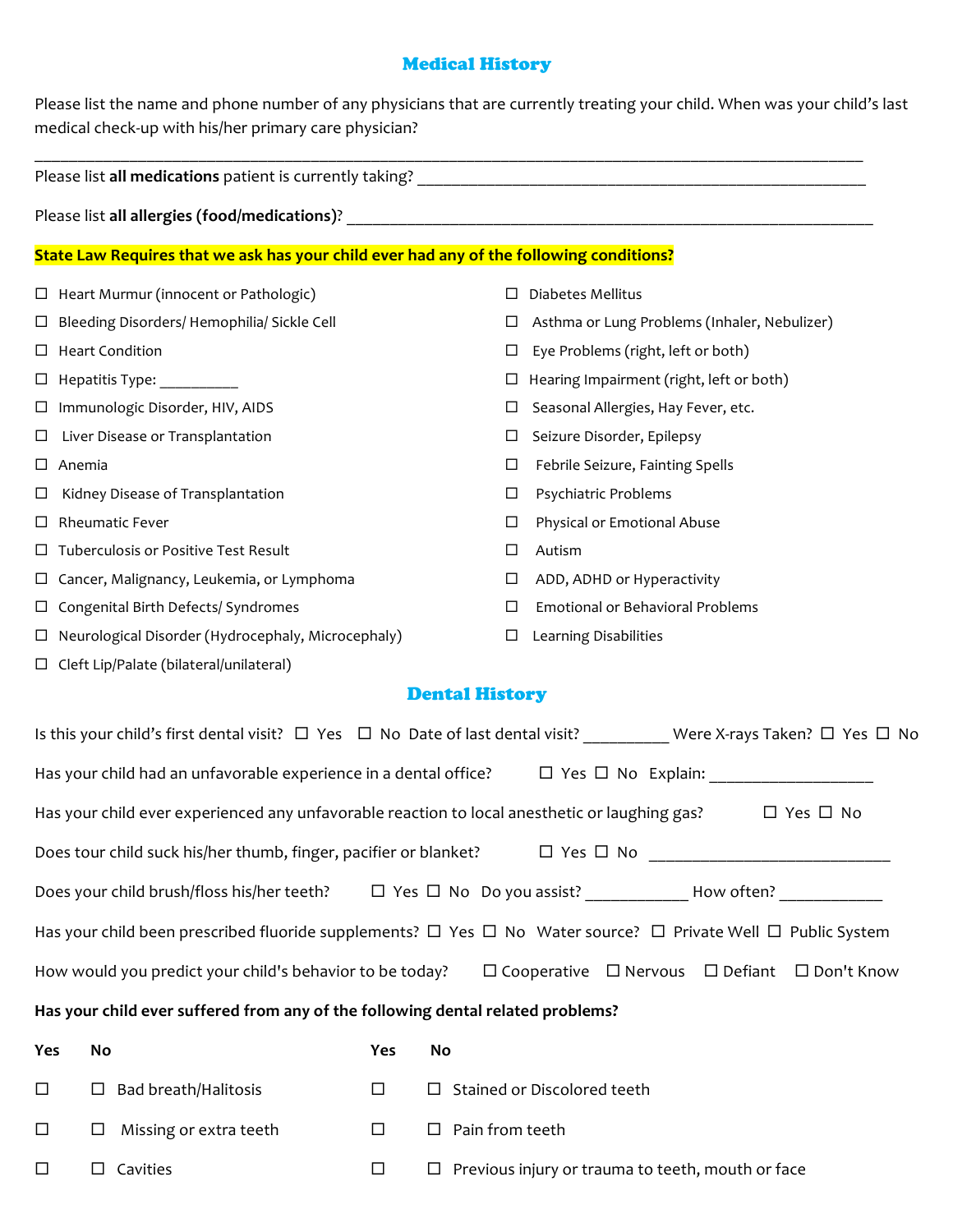### Medical History

Please list the name and phone number of any physicians that are currently treating your child. When was your child's last medical check-up with his/her primary care physician?

\_\_\_\_\_\_\_\_\_\_\_\_\_\_\_\_\_\_\_\_\_\_\_\_\_\_\_\_\_\_\_\_\_\_\_\_\_\_\_\_\_\_\_\_\_\_\_\_\_\_\_\_\_\_\_\_\_\_\_\_\_\_\_\_\_\_\_\_\_\_\_\_\_\_\_\_\_\_\_\_\_\_\_\_\_\_\_\_\_\_\_\_\_\_\_\_

| Please list all medications patient is currently taking? The manufacturer of the control of the control of the |                                                   |  |  |  |  |
|----------------------------------------------------------------------------------------------------------------|---------------------------------------------------|--|--|--|--|
|                                                                                                                |                                                   |  |  |  |  |
| State Law Requires that we ask has your child ever had any of the following conditions?                        |                                                   |  |  |  |  |
| $\Box$ Heart Murmur (innocent or Pathologic)                                                                   | Diabetes Mellitus                                 |  |  |  |  |
| □ Bleeding Disorders/ Hemophilia/ Sickle Cell                                                                  | Asthma or Lung Problems (Inhaler, Nebulizer)<br>□ |  |  |  |  |
| $\Box$ Heart Condition                                                                                         | Eye Problems (right, left or both)<br>□           |  |  |  |  |
| $\Box$ Hepatitis Type: __________                                                                              | Hearing Impairment (right, left or both)<br>□     |  |  |  |  |
| $\Box$ Immunologic Disorder, HIV, AIDS                                                                         | □<br>Seasonal Allergies, Hay Fever, etc.          |  |  |  |  |
| $\square$ Liver Disease or Transplantation                                                                     | Seizure Disorder, Epilepsy<br>□                   |  |  |  |  |
| $\Box$ Anemia                                                                                                  | Febrile Seizure, Fainting Spells<br>□             |  |  |  |  |
| $\Box$ Kidney Disease of Transplantation                                                                       | Psychiatric Problems<br>□                         |  |  |  |  |
| $\Box$ Rheumatic Fever                                                                                         | Physical or Emotional Abuse<br>□                  |  |  |  |  |
| $\Box$ Tuberculosis or Positive Test Result                                                                    | Autism<br>□                                       |  |  |  |  |
| $\Box$ Cancer, Malignancy, Leukemia, or Lymphoma                                                               | ADD, ADHD or Hyperactivity<br>□                   |  |  |  |  |
| □ Congenital Birth Defects/ Syndromes                                                                          | <b>Emotional or Behavioral Problems</b><br>□      |  |  |  |  |
| $\Box$ Neurological Disorder (Hydrocephaly, Microcephaly)                                                      | Learning Disabilities<br>□                        |  |  |  |  |

 $\square$  Cleft Lip/Palate (bilateral/unilateral)

#### Dental History

|                                                                                                                                  |        | Is this your child's first dental visit? □ Yes □ No Date of last dental visit? Were X-rays Taken? □ Yes □ No            |        |                           |                                    |  |
|----------------------------------------------------------------------------------------------------------------------------------|--------|-------------------------------------------------------------------------------------------------------------------------|--------|---------------------------|------------------------------------|--|
|                                                                                                                                  |        | Has your child had an unfavorable experience in a dental office? $\Box$ Yes $\Box$ No Explain:                          |        |                           |                                    |  |
| Has your child ever experienced any unfavorable reaction to local anesthetic or laughing gas?<br>$\Box$ Yes $\Box$ No            |        |                                                                                                                         |        |                           |                                    |  |
|                                                                                                                                  |        | Does tour child suck his/her thumb, finger, pacifier or blanket? □ Yes □ No                                             |        |                           |                                    |  |
|                                                                                                                                  |        | Does your child brush/floss his/her teeth? $\Box$ Yes $\Box$ No Do you assist? ______________ How often? ______________ |        |                           |                                    |  |
| Has your child been prescribed fluoride supplements? $\Box$ Yes $\Box$ No Water source? $\Box$ Private Well $\Box$ Public System |        |                                                                                                                         |        |                           |                                    |  |
| $\Box$ Cooperative $\Box$ Nervous $\Box$ Defiant $\Box$ Don't Know<br>How would you predict your child's behavior to be today?   |        |                                                                                                                         |        |                           |                                    |  |
| Has your child ever suffered from any of the following dental related problems?                                                  |        |                                                                                                                         |        |                           |                                    |  |
| Yes                                                                                                                              | No     |                                                                                                                         | Yes    | No                        |                                    |  |
| $\Box$                                                                                                                           | $\Box$ | Bad breath/Halitosis                                                                                                    | $\Box$ |                           | $\Box$ Stained or Discolored teeth |  |
| $\Box$                                                                                                                           | □      | Missing or extra teeth                                                                                                  | $\Box$ | Pain from teeth<br>$\Box$ |                                    |  |

 $\square$   $\square$  Cavities  $\square$   $\square$  Previous injury or trauma to teeth, mouth or face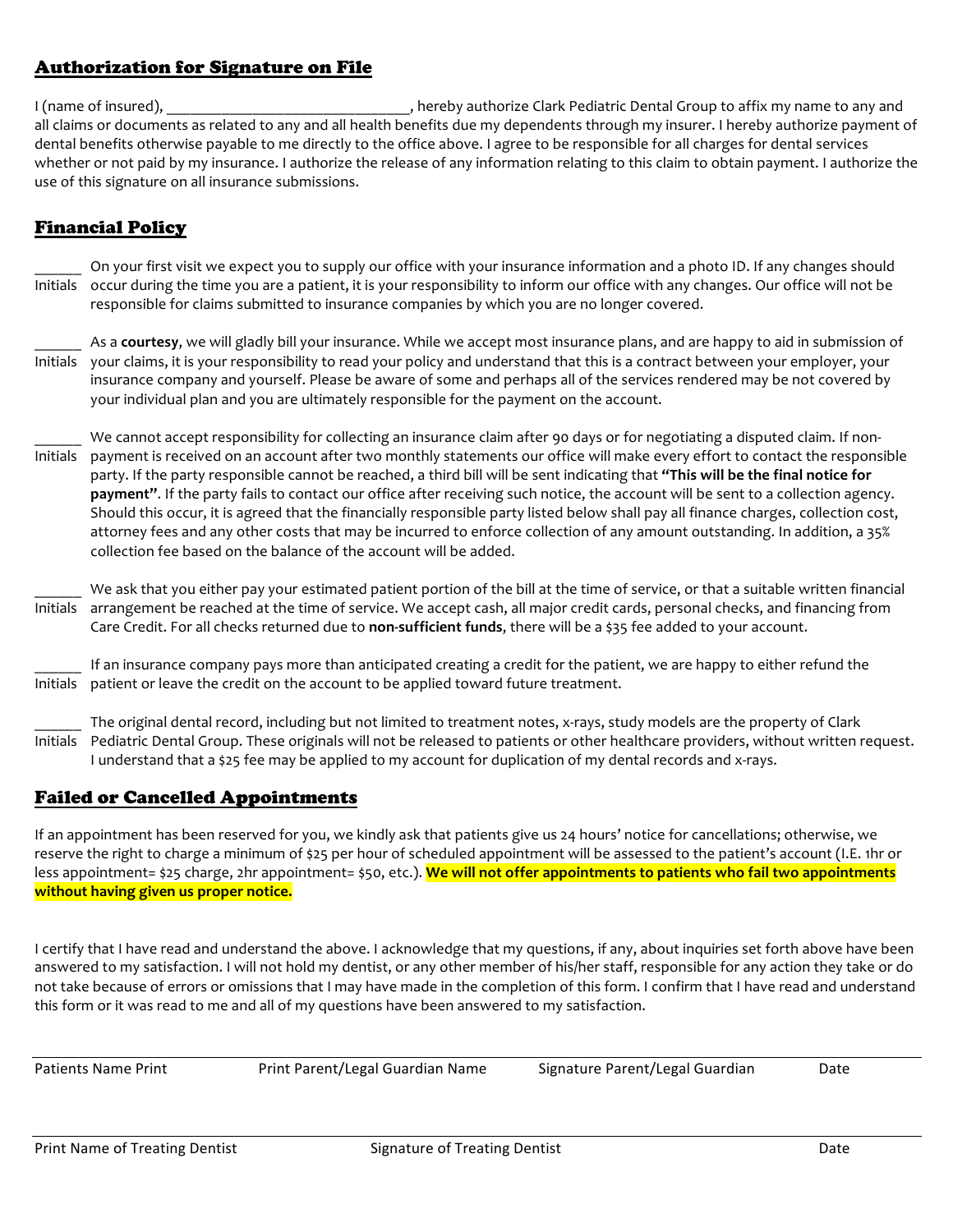## Authorization for Signature on File

I (name of insured), \_\_\_\_\_\_\_\_\_\_\_\_\_\_\_\_\_\_\_\_\_\_\_\_\_\_\_\_\_\_\_\_, hereby authorize Clark Pediatric Dental Group to affix my name to any and all claims or documents as related to any and all health benefits due my dependents through my insurer. I hereby authorize payment of dental benefits otherwise payable to me directly to the office above. I agree to be responsible for all charges for dental services whether or not paid by my insurance. I authorize the release of any information relating to this claim to obtain payment. I authorize the use of this signature on all insurance submissions.

## Financial Policy

On your first visit we expect you to supply our office with your insurance information and a photo ID. If any changes should Initials occur during the time you are a patient, it is your responsibility to inform our office with any changes. Our office will not be responsible for claims submitted to insurance companies by which you are no longer covered.

As a courtesy, we will gladly bill your insurance. While we accept most insurance plans, and are happy to aid in submission of Initials your claims, it is your responsibility to read your policy and understand that this is a contract between your employer, your insurance company and yourself. Please be aware of some and perhaps all of the services rendered may be not covered by your individual plan and you are ultimately responsible for the payment on the account.

We cannot accept responsibility for collecting an insurance claim after 90 days or for negotiating a disputed claim. If non-Initials payment is received on an account after two monthly statements our office will make every effort to contact the responsible party. If the party responsible cannot be reached, a third bill will be sent indicating that **"This will be the final notice for payment"**. If the party fails to contact our office after receiving such notice, the account will be sent to a collection agency. Should this occur, it is agreed that the financially responsible party listed below shall pay all finance charges, collection cost, attorney fees and any other costs that may be incurred to enforce collection of any amount outstanding. In addition, a 35% collection fee based on the balance of the account will be added.

We ask that you either pay your estimated patient portion of the bill at the time of service, or that a suitable written financial Initials arrangement be reached at the time of service. We accept cash, all major credit cards, personal checks, and financing from Care Credit. For all checks returned due to **non-sufficient funds**, there will be a \$35 fee added to your account.

If an insurance company pays more than anticipated creating a credit for the patient, we are happy to either refund the Initials patient or leave the credit on the account to be applied toward future treatment.

The original dental record, including but not limited to treatment notes, x-rays, study models are the property of Clark Initials Pediatric Dental Group. These originals will not be released to patients or other healthcare providers, without written request. I understand that a \$25 fee may be applied to my account for duplication of my dental records and x-rays.

### Failed or Cancelled Appointments

If an appointment has been reserved for you, we kindly ask that patients give us 24 hours' notice for cancellations; otherwise, we reserve the right to charge a minimum of \$25 per hour of scheduled appointment will be assessed to the patient's account (I.E. 1hr or less appointment= \$25 charge, 2hr appointment= \$50, etc.). We will not offer appointments to patients who fail two appointments **without having given us proper notice.**

I certify that I have read and understand the above. I acknowledge that my questions, if any, about inquiries set forth above have been answered to my satisfaction. I will not hold my dentist, or any other member of his/her staff, responsible for any action they take or do not take because of errors or omissions that I may have made in the completion of this form. I confirm that I have read and understand this form or it was read to me and all of my questions have been answered to my satisfaction.

Patients Name Print **Mullet Concilent Parent/Legal Guardian** Name Signature Parent/Legal Guardian Date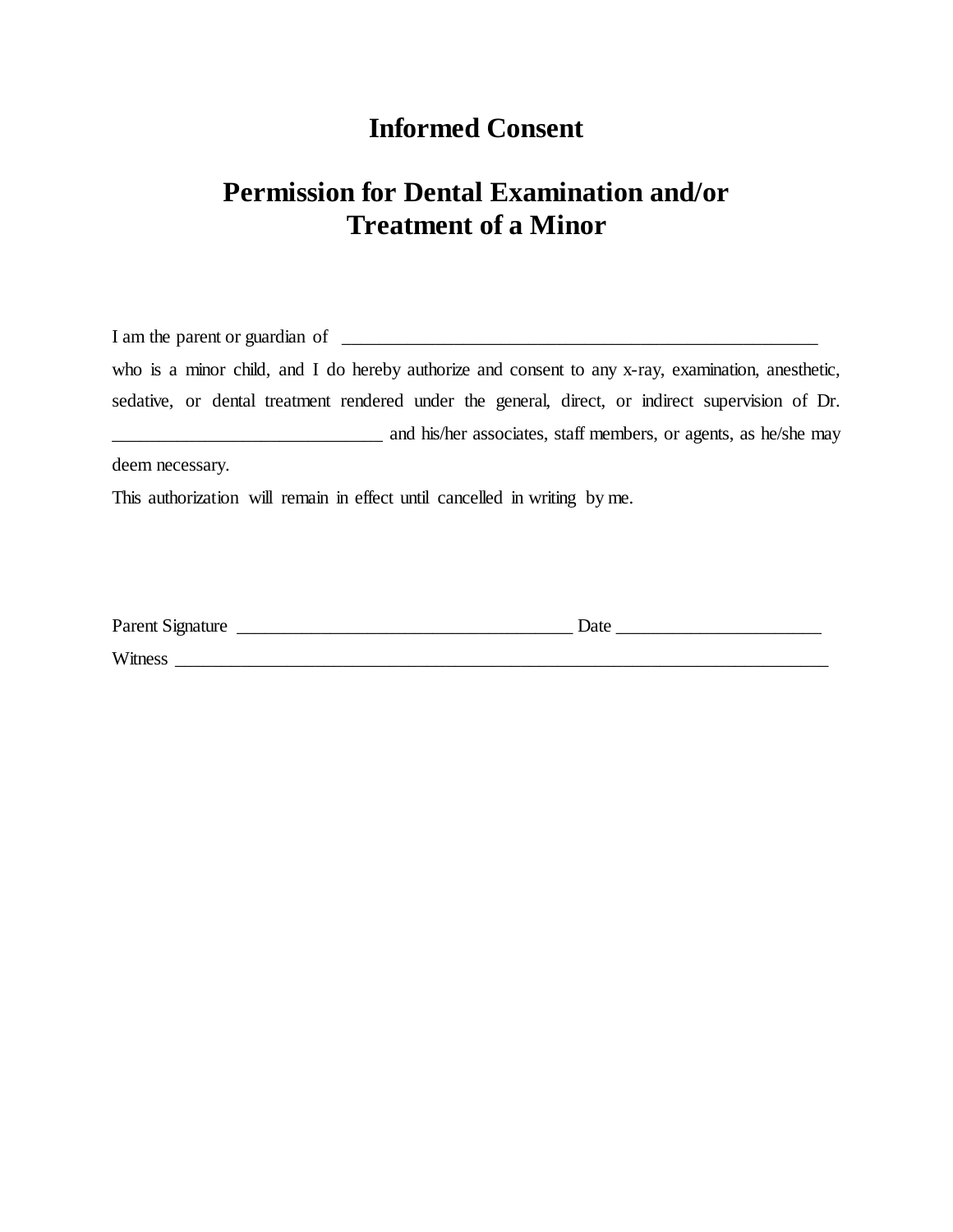# **Informed Consent**

# **Permission for Dental Examination and/or Treatment of a Minor**

| deem necessary.                                                                                    |
|----------------------------------------------------------------------------------------------------|
| and his/her associates, staff members, or agents, as he/she may                                    |
| sedative, or dental treatment rendered under the general, direct, or indirect supervision of Dr.   |
| who is a minor child, and I do hereby authorize and consent to any x-ray, examination, anesthetic, |
| I am the parent or guardian of                                                                     |

This authorization will remain in effect until cancelled in writing by me.

| Parent Signature | Date |
|------------------|------|
| Witness          |      |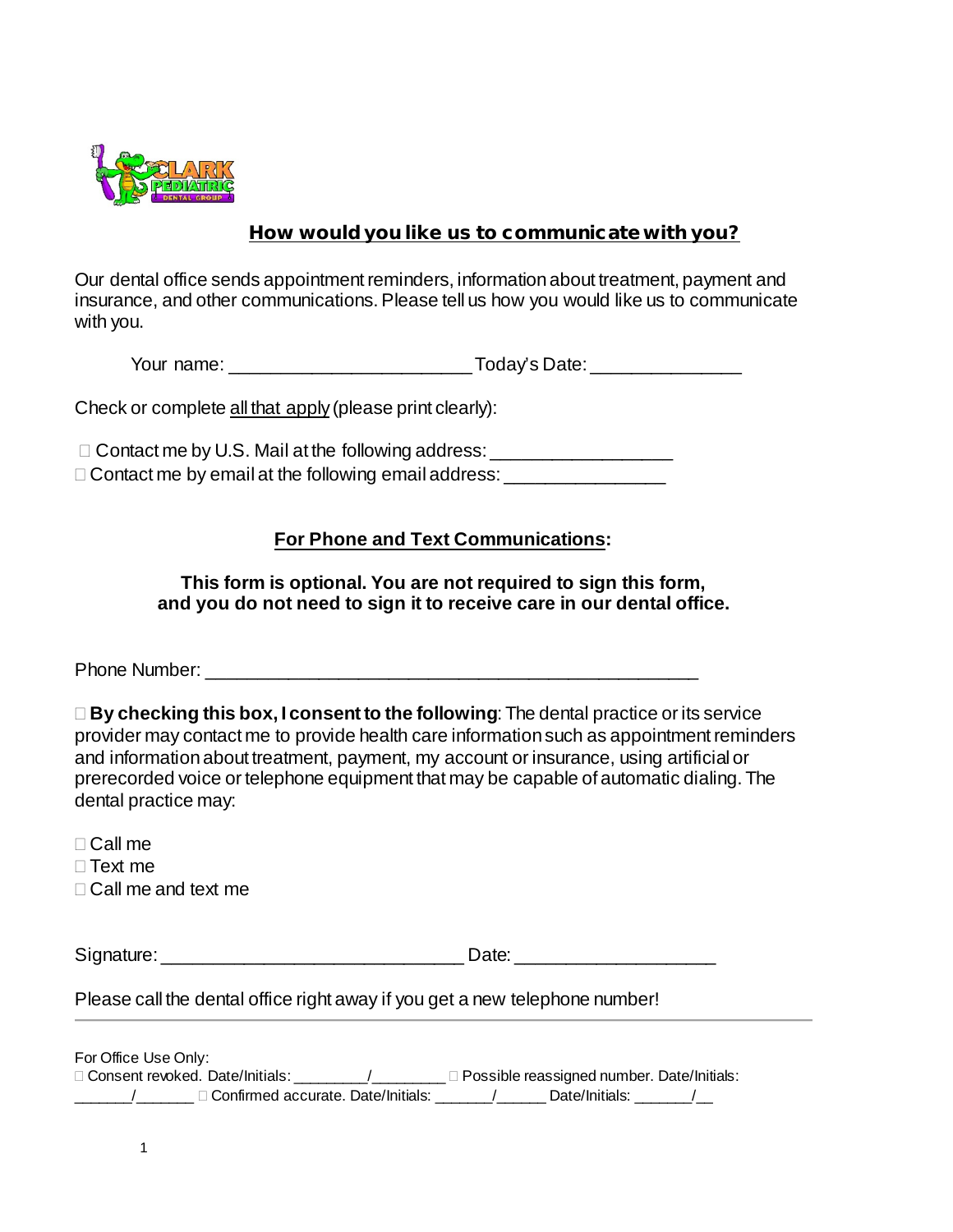

### How would you like us to communicate with you?

Our dental office sends appointment reminders, information about treatment, payment and insurance, and other communications. Please tell us how you would like us to communicate with you.

Your name: \_\_\_\_\_\_\_\_\_\_\_\_\_\_\_\_\_\_\_\_\_\_\_\_ Today's Date: \_\_\_\_\_\_\_\_\_\_\_\_\_\_\_

Check or complete all that apply (please print clearly):

□ Contact me by U.S. Mail at the following address: \_\_\_\_\_\_\_\_\_\_\_\_\_\_\_\_\_\_\_\_\_\_\_\_\_\_\_

 $\Box$  Contact me by email at the following email address:

# **For Phone and Text Communications:**

**This form is optional. You are not required to sign this form, and you do not need to sign it to receive care in our dental office.**

Phone Number:  $\blacksquare$ 

 **By checking this box, I consent to the following**: The dental practice or its service provider may contact me to provide health care information such as appointment reminders and information about treatment, payment, my account or insurance, using artificial or prerecorded voice or telephone equipment that may be capable of automatic dialing. The dental practice may:

- Call me
- □ Text me
- $\Box$  Call me and text me

Signature: \_\_\_\_\_\_\_\_\_\_\_\_\_\_\_\_\_\_\_\_\_\_\_\_\_\_\_\_\_\_ Date: \_\_\_\_\_\_\_\_\_\_\_\_\_\_\_\_\_\_\_\_

Please call the dental office right away if you get a new telephone number!

For Office Use Only:

□ Consent revoked. Date/Initials: \_\_\_\_\_\_\_\_\_\_/\_\_\_\_\_\_\_\_\_\_ □ Possible reassigned number. Date/Initials: \_\_\_\_\_\_\_/\_\_\_\_\_\_\_ Confirmed accurate. Date/Initials: \_\_\_\_\_\_\_/\_\_\_\_\_\_ Date/Initials: \_\_\_\_\_\_\_/\_\_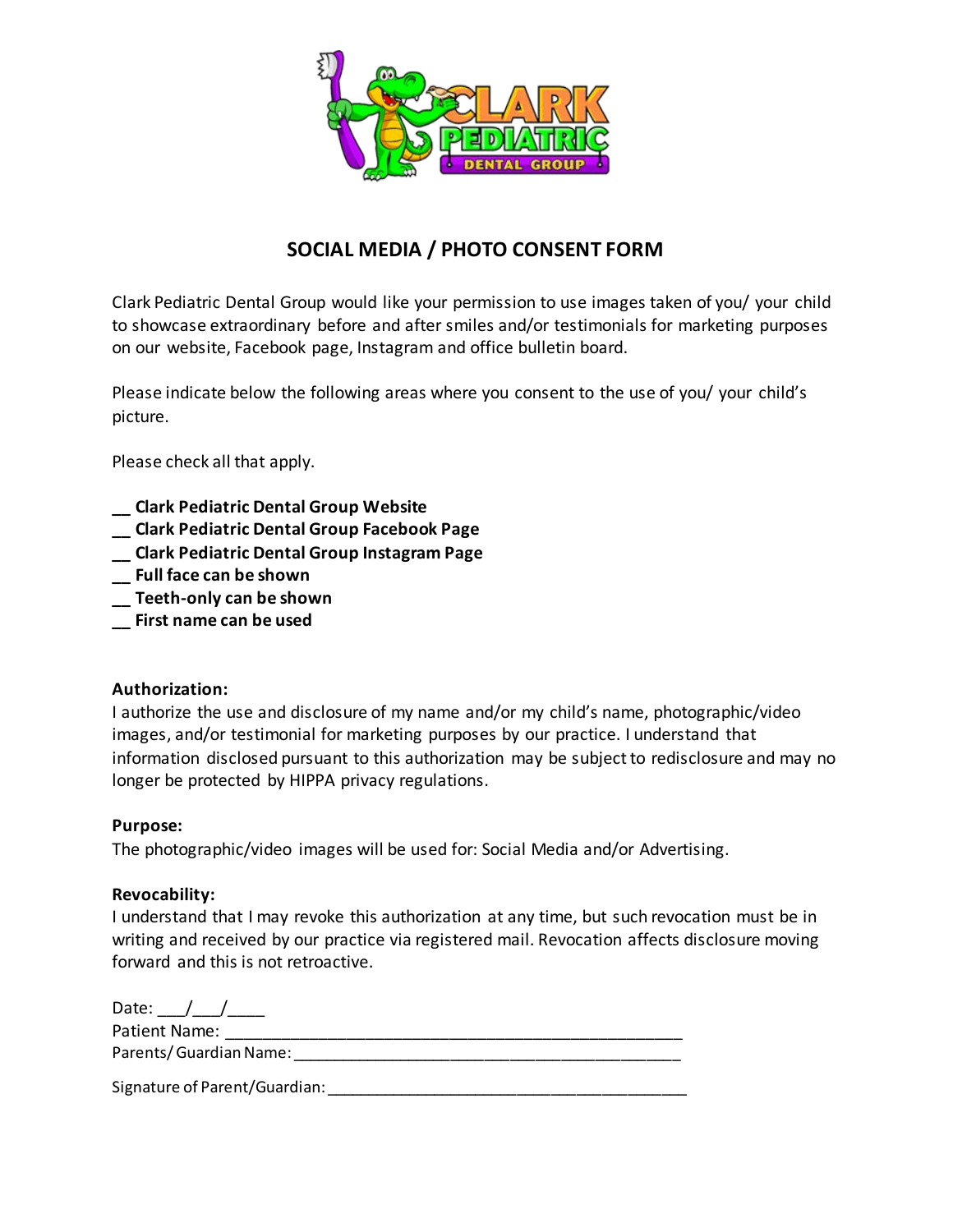

# **SOCIAL MEDIA / PHOTO CONSENT FORM**

Clark Pediatric Dental Group would like your permission to use images taken of you/ your child to showcase extraordinary before and after smiles and/or testimonials for marketing purposes on our website, Facebook page, Instagram and office bulletin board.

Please indicate below the following areas where you consent to the use of you/ your child's picture.

Please check all that apply.

- **\_\_ Clark Pediatric Dental Group Website**
- **\_\_ Clark Pediatric Dental Group Facebook Page**
- **\_\_ Clark Pediatric Dental Group Instagram Page**
- **\_\_ Full face can be shown**
- **\_\_ Teeth-only can be shown**
- **\_\_ First name can be used**

### **Authorization:**

I authorize the use and disclosure of my name and/or my child's name, photographic/video images, and/or testimonial for marketing purposes by our practice. I understand that information disclosed pursuant to this authorization may be subject to redisclosure and may no longer be protected by HIPPA privacy regulations.

#### **Purpose:**

The photographic/video images will be used for: Social Media and/or Advertising.

#### **Revocability:**

I understand that I may revoke this authorization at any time, but such revocation must be in writing and received by our practice via registered mail. Revocation affects disclosure moving forward and this is not retroactive.

| Date: $/$                     |  |
|-------------------------------|--|
| Patient Name:                 |  |
| Parents/Guardian Name:        |  |
| Signature of Parent/Guardian: |  |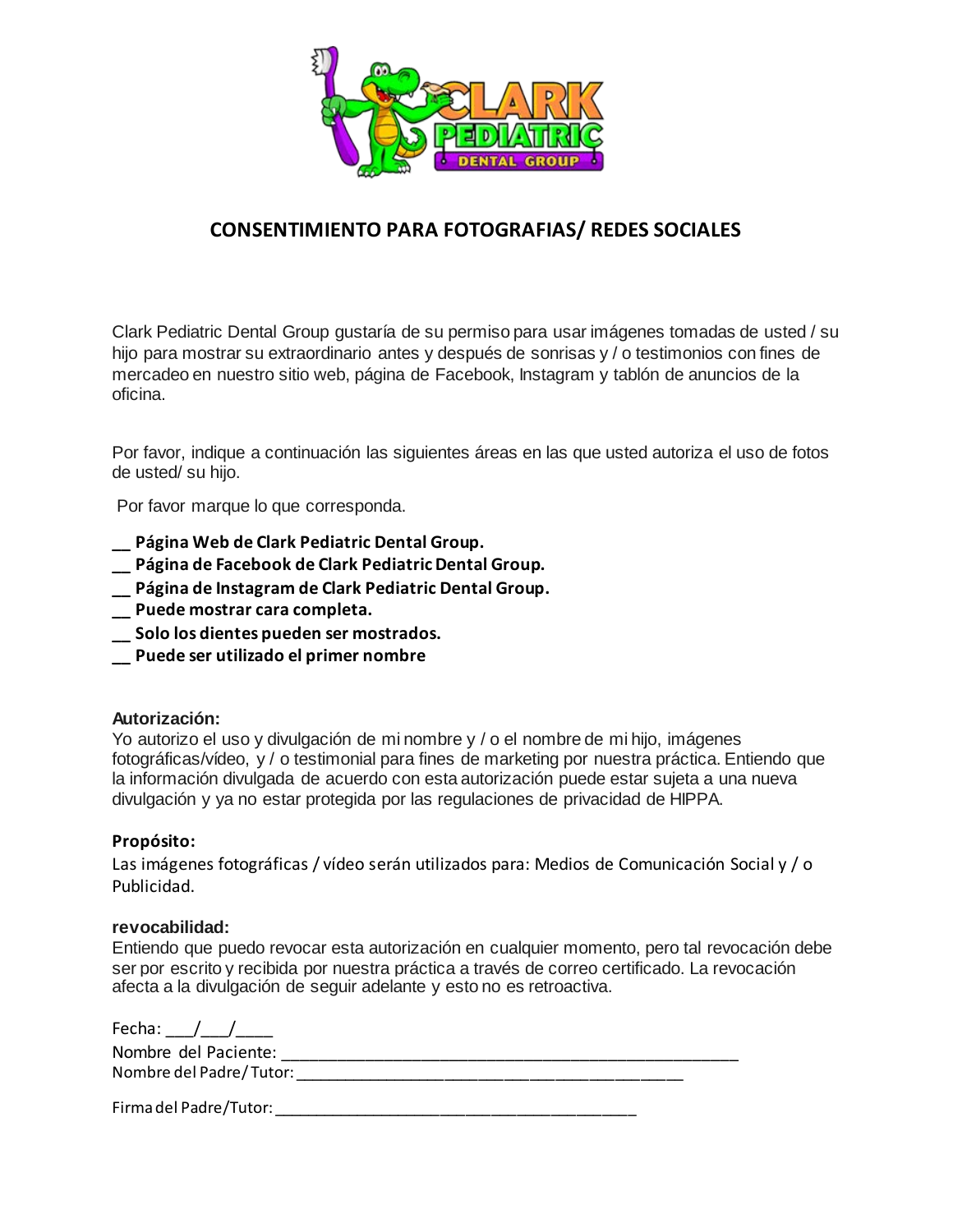

# **CONSENTIMIENTO PARA FOTOGRAFIAS/ REDES SOCIALES**

Clark Pediatric Dental Group gustaría de su permiso para usar imágenes tomadas de usted / su hijo para mostrar su extraordinario antes y después de sonrisas y / o testimonios con fines de mercadeo en nuestro sitio web, página de Facebook, Instagram y tablón de anuncios de la oficina.

Por favor, indique a continuación las siguientes áreas en las que usted autoriza el uso de fotos de usted/ su hijo.

Por favor marque lo que corresponda.

- **\_\_ Página Web de Clark Pediatric Dental Group.**
- **\_\_ Página de Facebook de Clark Pediatric Dental Group.**
- **\_\_ Página de Instagram de Clark Pediatric Dental Group.**
- **\_\_ Puede mostrar cara completa.**
- **\_\_ Solo los dientes pueden ser mostrados.**
- **\_\_ Puede ser utilizado el primer nombre**

#### **Autorización:**

Yo autorizo el uso y divulgación de mi nombre y / o el nombre de mi hijo, imágenes fotográficas/vídeo, y / o testimonial para fines de marketing por nuestra práctica. Entiendo que la información divulgada de acuerdo con esta autorización puede estar sujeta a una nueva divulgación y ya no estar protegida por las regulaciones de privacidad de HIPPA.

#### **Propósito:**

Las imágenes fotográficas / vídeo serán utilizados para: Medios de Comunicación Social y / o Publicidad.

#### **revocabilidad:**

Entiendo que puedo revocar esta autorización en cualquier momento, pero tal revocación debe ser por escrito y recibida por nuestra práctica a través de correo certificado. La revocación afecta a la divulgación de seguir adelante y esto no es retroactiva.

Fecha: / / Nombre del Paciente: \_\_\_\_\_\_\_\_\_\_\_\_\_\_\_\_\_\_\_\_\_\_\_\_\_\_\_\_\_\_\_\_\_\_\_\_\_\_\_\_\_\_\_\_\_\_\_\_\_ Nombre del Padre/ Tutor: \_\_\_\_\_\_\_\_\_\_\_\_\_\_\_\_\_\_\_\_\_\_\_\_\_\_\_\_\_\_\_\_\_\_\_\_\_\_\_\_\_\_\_\_\_\_

Firma del Padre/Tutor: \_\_\_\_\_\_\_\_\_\_\_\_\_\_\_\_\_\_\_\_\_\_\_\_\_\_\_\_\_\_\_\_\_\_\_\_\_\_\_\_\_\_\_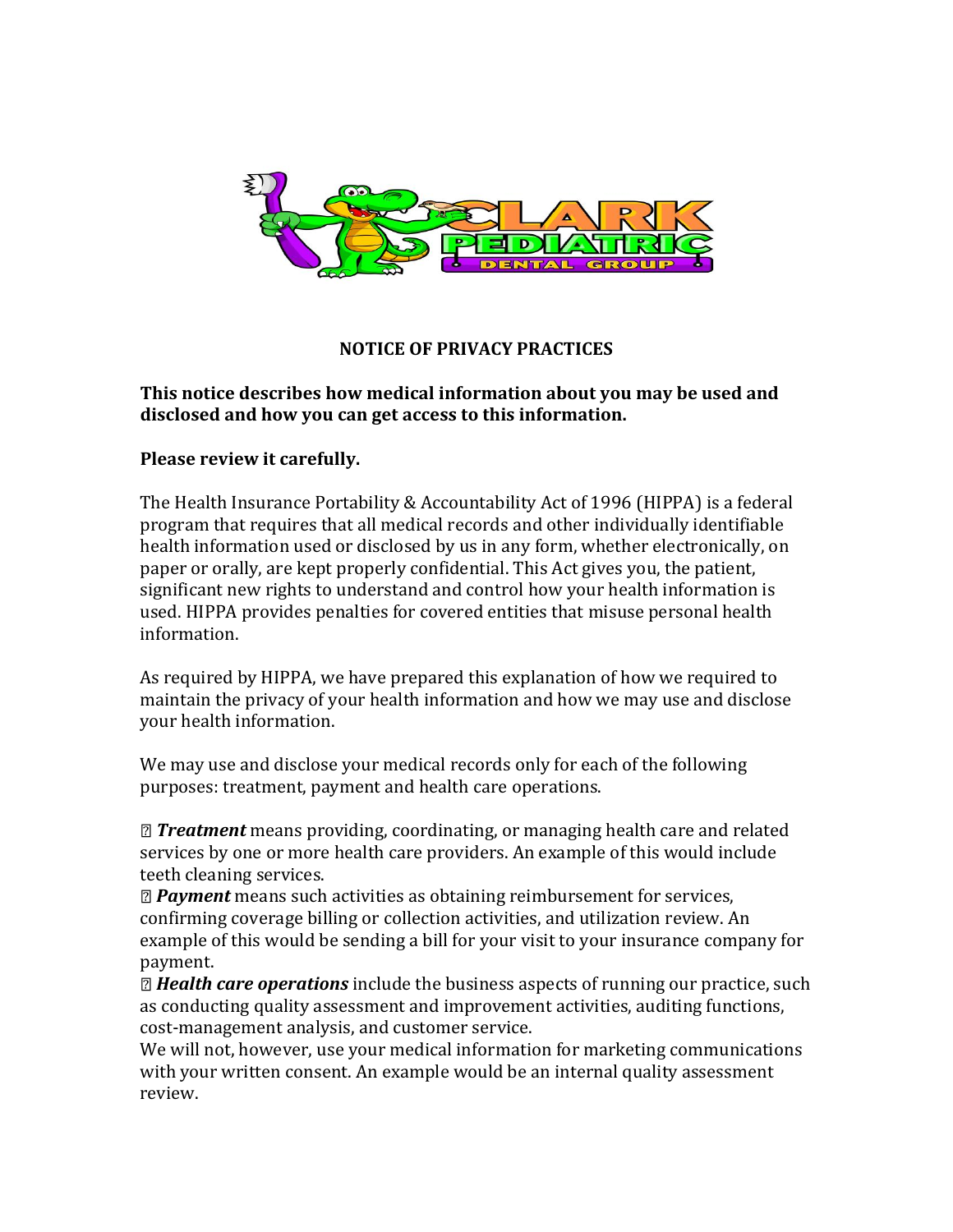

## **NOTICE OF PRIVACY PRACTICES**

## **This notice describes how medical information about you may be used and disclosed and how you can get access to this information.**

### **Please review it carefully.**

The Health Insurance Portability & Accountability Act of 1996 (HIPPA) is a federal program that requires that all medical records and other individually identifiable health information used or disclosed by us in any form, whether electronically, on paper or orally, are kept properly confidential. This Act gives you, the patient, significant new rights to understand and control how your health information is used. HIPPA provides penalties for covered entities that misuse personal health information.

As required by HIPPA, we have prepared this explanation of how we required to maintain the privacy of your health information and how we may use and disclose your health information.

We may use and disclose your medical records only for each of the following purposes: treatment, payment and health care operations.

*Treatment* means providing, coordinating, or managing health care and related services by one or more health care providers. An example of this would include teeth cleaning services.

*Payment* means such activities as obtaining reimbursement for services, confirming coverage billing or collection activities, and utilization review. An example of this would be sending a bill for your visit to your insurance company for payment.

*Health care operations* include the business aspects of running our practice, such as conducting quality assessment and improvement activities, auditing functions, cost-management analysis, and customer service.

We will not, however, use your medical information for marketing communications with your written consent. An example would be an internal quality assessment review.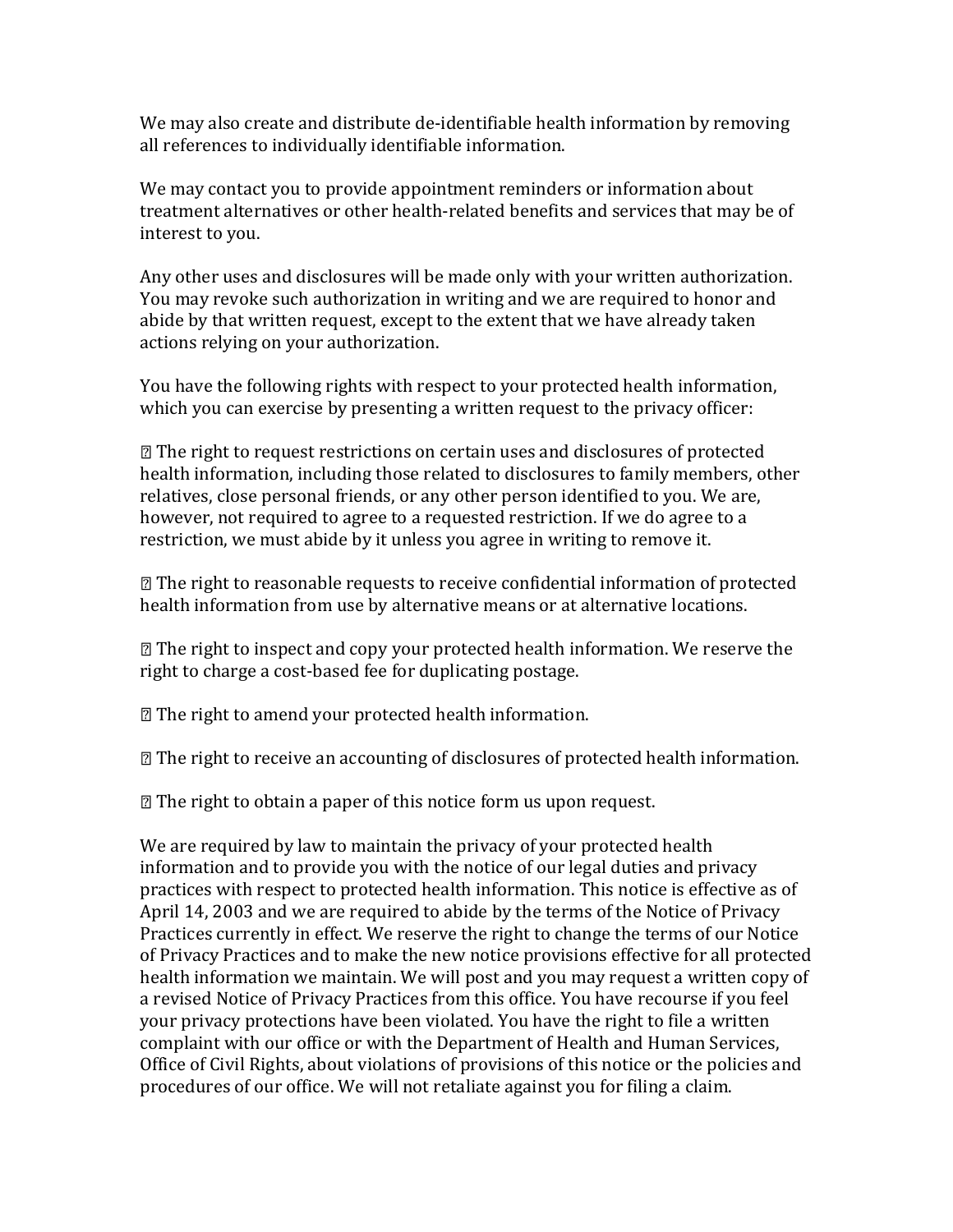We may also create and distribute de-identifiable health information by removing all references to individually identifiable information.

We may contact you to provide appointment reminders or information about treatment alternatives or other health-related benefits and services that may be of interest to you.

Any other uses and disclosures will be made only with your written authorization. You may revoke such authorization in writing and we are required to honor and abide by that written request, except to the extent that we have already taken actions relying on your authorization.

You have the following rights with respect to your protected health information, which you can exercise by presenting a written request to the privacy officer:

The right to request restrictions on certain uses and disclosures of protected health information, including those related to disclosures to family members, other relatives, close personal friends, or any other person identified to you. We are, however, not required to agree to a requested restriction. If we do agree to a restriction, we must abide by it unless you agree in writing to remove it.

The right to reasonable requests to receive confidential information of protected health information from use by alternative means or at alternative locations.

The right to inspect and copy your protected health information. We reserve the right to charge a cost-based fee for duplicating postage.

The right to amend your protected health information.

The right to receive an accounting of disclosures of protected health information.

⊠ The right to obtain a paper of this notice form us upon request.

We are required by law to maintain the privacy of your protected health information and to provide you with the notice of our legal duties and privacy practices with respect to protected health information. This notice is effective as of April 14, 2003 and we are required to abide by the terms of the Notice of Privacy Practices currently in effect. We reserve the right to change the terms of our Notice of Privacy Practices and to make the new notice provisions effective for all protected health information we maintain. We will post and you may request a written copy of a revised Notice of Privacy Practices from this office. You have recourse if you feel your privacy protections have been violated. You have the right to file a written complaint with our office or with the Department of Health and Human Services, Office of Civil Rights, about violations of provisions of this notice or the policies and procedures of our office. We will not retaliate against you for filing a claim.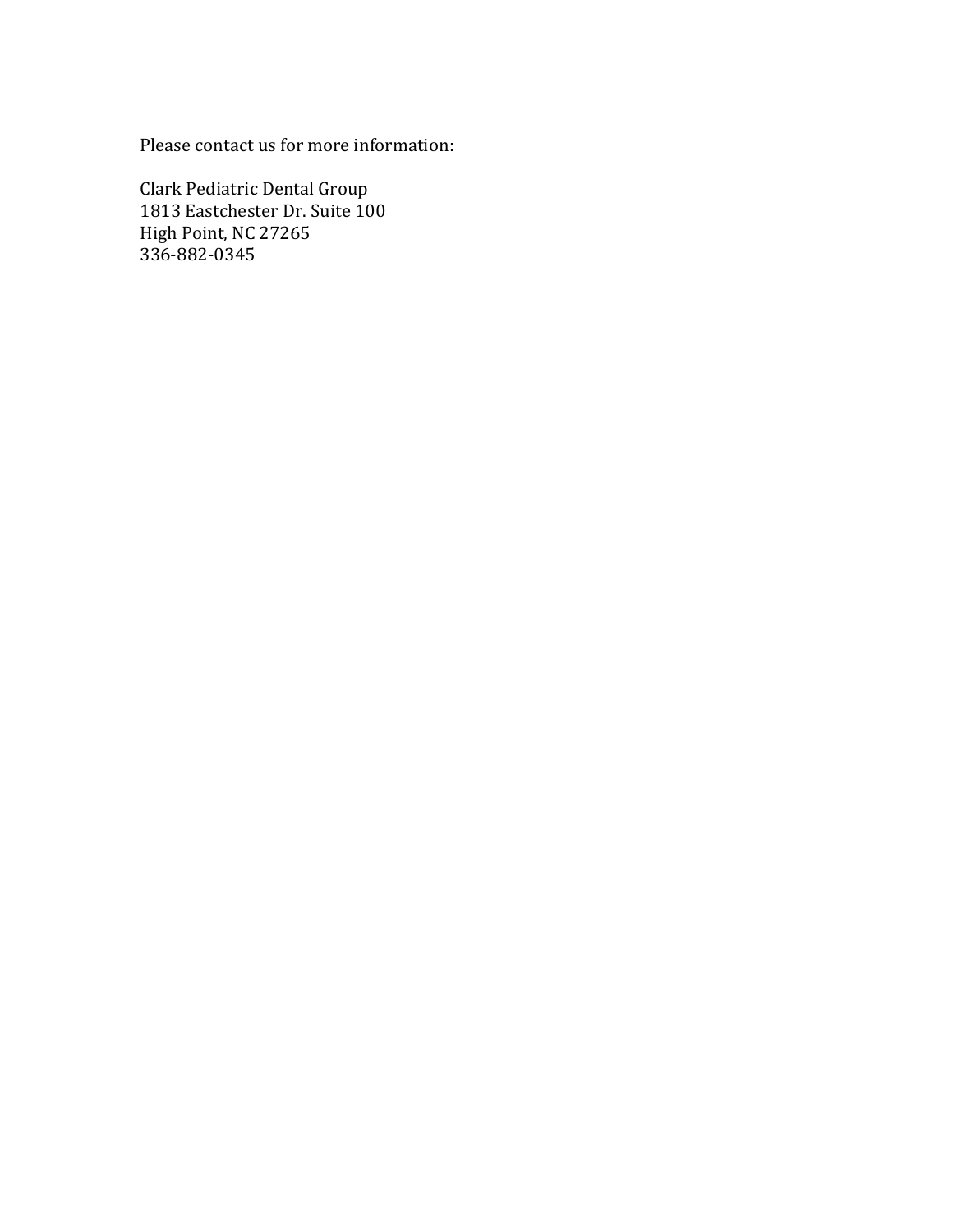Please contact us for more information:

Clark Pediatric Dental Group 1813 Eastchester Dr. Suite 100 High Point, NC 27265 336-882-0345